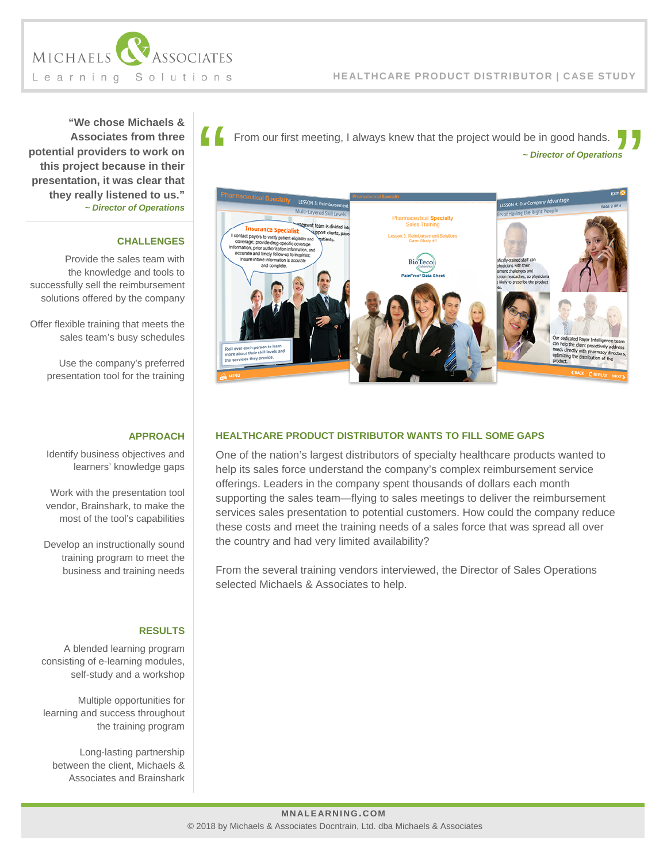

**"We chose Michaels & Associates from three potential providers to work on this project because in their presentation, it was clear that they really listened to us."** *~ Director of Operations*

## **CHALLENGES**

Provide the sales team with the knowledge and tools to successfully sell the reimbursement solutions offered by the company

Offer flexible training that meets the sales team's busy schedules

Use the company's preferred presentation tool for the training

## **APPROACH**

Identify business objectives and learners' knowledge gaps

Work with the presentation tool vendor, Brainshark, to make the most of the tool's capabilities

Develop an instructionally sound training program to meet the business and training needs

## **RESULTS**

A blended learning program consisting of e-learning modules, self-study and a workshop

Multiple opportunities for learning and success throughout the training program

Long-lasting partnership between the client, Michaels & Associates and Brainshark

*~ Director of Operations* From our first meeting, I always knew that the project would be in good hands.



## **HEALTHCARE PRODUCT DISTRIBUTOR WANTS TO FILL SOME GAPS**

One of the nation's largest distributors of specialty healthcare products wanted to help its sales force understand the company's complex reimbursement service offerings. Leaders in the company spent thousands of dollars each month supporting the sales team—flying to sales meetings to deliver the reimbursement services sales presentation to potential customers. How could the company reduce these costs and meet the training needs of a sales force that was spread all over the country and had very limited availability?

From the several training vendors interviewed, the Director of Sales Operations selected Michaels & Associates to help.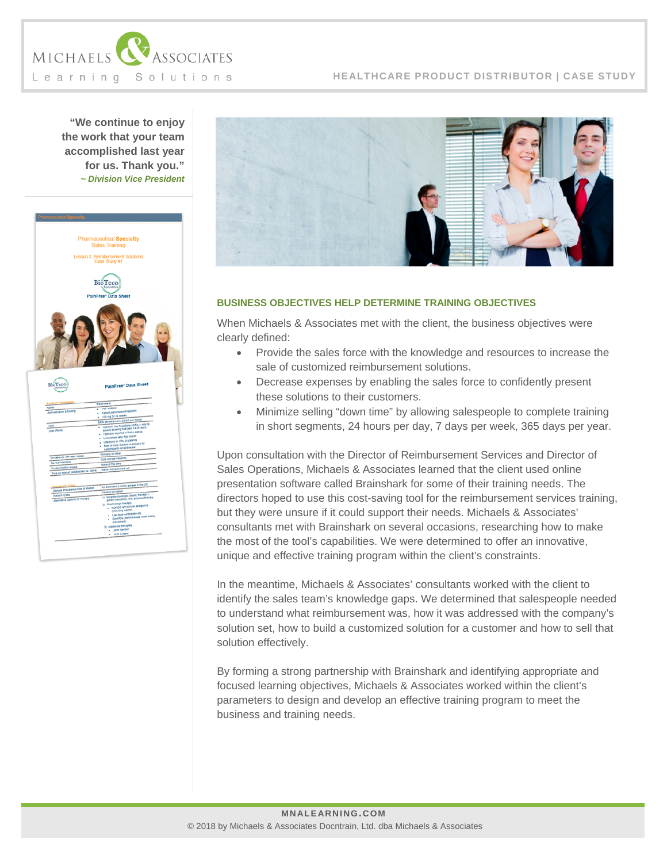

## **HEALTHCARE PRODUCT DISTRIBUTOR | CASE STUDY**

**"We continue to enjoy the work that your team accomplished last year for us. Thank you."** *~ Division Vice President*





## **BUSINESS OBJECTIVES HELP DETERMINE TRAINING OBJECTIVES**

When Michaels & Associates met with the client, the business objectives were clearly defined:

- Provide the sales force with the knowledge and resources to increase the sale of customized reimbursement solutions.
- Decrease expenses by enabling the sales force to confidently present these solutions to their customers.
- Minimize selling "down time" by allowing salespeople to complete training in short segments, 24 hours per day, 7 days per week, 365 days per year.

Upon consultation with the Director of Reimbursement Services and Director of Sales Operations, Michaels & Associates learned that the client used online presentation software called Brainshark for some of their training needs. The directors hoped to use this cost-saving tool for the reimbursement services training, but they were unsure if it could support their needs. Michaels & Associates' consultants met with Brainshark on several occasions, researching how to make the most of the tool's capabilities. We were determined to offer an innovative, unique and effective training program within the client's constraints.

In the meantime, Michaels & Associates' consultants worked with the client to identify the sales team's knowledge gaps. We determined that salespeople needed to understand what reimbursement was, how it was addressed with the company's solution set, how to build a customized solution for a customer and how to sell that solution effectively.

By forming a strong partnership with Brainshark and identifying appropriate and focused learning objectives, Michaels & Associates worked within the client's parameters to design and develop an effective training program to meet the business and training needs.